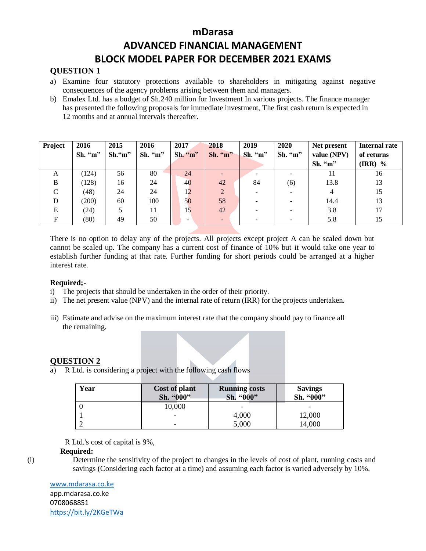# **QUESTION 1**

- a) Examine four statutory protections available to shareholders in mitigating against negative consequences of the agency problerns arising between them and managers.
- b) Emalex Ltd. has a budget of Sh.240 million for Investment In various projects. The finance manager has presented the following proposals for immediate investment, The first cash return is expected in 12 months and at annual intervals thereafter.

| Project       | 2016    | 2015      | 2016    | 2017                     | 2018           | 2019    | 2020    | Net present | Internal rate                 |
|---------------|---------|-----------|---------|--------------------------|----------------|---------|---------|-------------|-------------------------------|
|               | Sh. "m" | $Sh.$ "m" | Sh. "m" | Sh. "m"                  | Sh. "m"        | Sh. "m" | Sh. "m" | value (NPV) | of returns                    |
|               |         |           |         |                          |                |         |         | Sh. "m"     | $\overline{\textbf{(IRR)}}$ % |
| A             | (124)   | 56        | 80      | 24                       |                |         |         | 11          | 16                            |
| B             | (128)   | 16        | 24      | 40                       | 42             | 84      | (6)     | 13.8        | 13                            |
| $\mathcal{C}$ | (48)    | 24        | 24      | 12                       | $\overline{2}$ |         |         | 4           | 15                            |
| D             | (200)   | 60        | 100     | 50                       | 58             |         |         | 14.4        | 13                            |
| E             | (24)    |           | 11      | 15                       | 42             |         |         | 3.8         | 17                            |
| F             | (80)    | 49        | 50      | $\overline{\phantom{0}}$ |                |         |         | 5.8         | 15                            |

There is no option to delay any of the projects. All projects except project A can be scaled down but cannot be scaled up. The company has a current cost of finance of 10% but it would take one year to establish further funding at that rate. Further funding for short periods could be arranged at a higher interest rate.

#### **Required;-**

- i) The projects that should be undertaken in the order of their priority.
- ii) The net present value (NPV) and the internal rate of return (IRR) for the projects undertaken.
- iii) Estimate and advise on the maximum interest rate that the company should pay to finance all the remaining.

### **QUESTION 2**

a) R Ltd. is considering a project with the following cash flows

| Year | Cost of plant<br>Sh. "000" | <b>Running costs</b><br>Sh. "000" | <b>Savings</b><br>Sh. "000" |
|------|----------------------------|-----------------------------------|-----------------------------|
|      | 10,000                     | -                                 |                             |
|      |                            | 4,000                             | 12,000                      |
|      |                            | 5,000                             | 14,000                      |

R Ltd.'s cost of capital is 9%,

#### **Required:**

(i) Determine the sensitivity of the project to changes in the levels of cost of plant, running costs and savings (Considering each factor at a time) and assuming each factor is varied adversely by 10%.

#### [www.mdarasa.co.ke](http://www.mdarasa.co.ke/)

app.mdarasa.co.ke 0708068851 <https://bit.ly/2KGeTWa>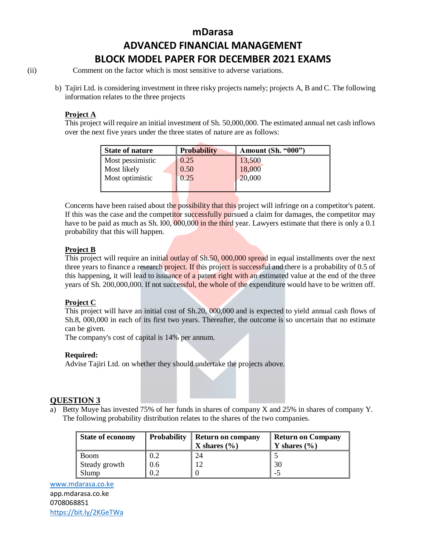(ii) Comment on the factor which is most sensitive to adverse variations.

b) Tajiri Ltd. is considering investment in three risky projects namely; projects A, B and C. The following information relates to the three projects

#### **Project A**

This project will require an initial investment of Sh. 50,000,000. The estimated annual net cash inflows over the next five years under the three states of nature are as follows:

| <b>State of nature</b> | <b>Probability</b> | <b>Amount (Sh. "000")</b> |
|------------------------|--------------------|---------------------------|
| Most pessimistic       | 0.25               | 13,500                    |
| Most likely            | 0.50               | 18,000                    |
| Most optimistic        | 0.25               | 20,000                    |
|                        |                    |                           |

Concerns have been raised about the possibility that this project will infringe on a competitor's patent. If this was the case and the competitor successfully pursued a claim for damages, the competitor may have to be paid as much as Sh. 100, 000,000 in the third year. Lawyers estimate that there is only a 0.1 probability that this will happen.

### **Project B**

This project will require an initial outlay of Sh.50, 000,000 spread in equal installments over the next three years to finance a research project. If this project is successful and there is a probability of 0.5 of this happening, it will lead to issuance of a patent right with an estimated value at the end of the three years of Sh. 200,000,000. If not successful, the whole of the expenditure would have to be written off.

### **Project C**

This project will have an initial cost of Sh.20, 000,000 and is expected to yield annual cash flows of Sh.8, 000,000 in each of its first two years. Thereafter, the outcome is so uncertain that no estimate can be given.

The company's cost of capital is 14% per annum.

#### **Required:**

Advise Tajiri Ltd. on whether they should undertake the projects above.

### **QUESTION 3**

a) Betty Muye has invested 75% of her funds in shares of company X and 25% in shares of company Y. The following probability distribution relates to the shares of the two companies.

| State of economy | <b>Probability</b> | Return on company<br>X shares $(\% )$ | <b>Return on Company</b><br>Y shares $(\% )$ |
|------------------|--------------------|---------------------------------------|----------------------------------------------|
| l Boom           | 0.2                |                                       |                                              |
| Steady growth    | 0.6                | $\sqrt{ }$                            | 30                                           |
| Slump            | 0.2                |                                       | - 1                                          |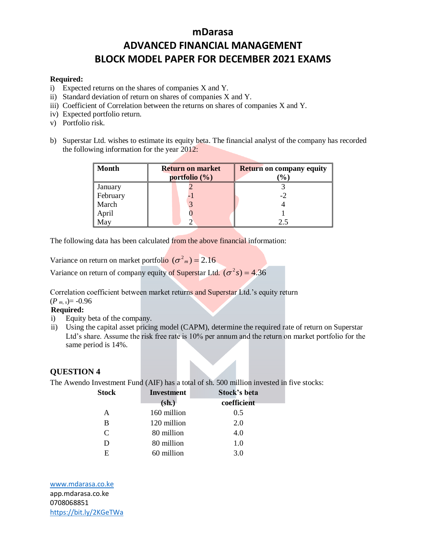#### **Required:**

- i) Expected returns on the shares of companies X and Y.
- ii) Standard deviation of return on shares of companies X and Y.
- iii) Coefficient of Correlation between the returns on shares of companies X and Y.
- iv) Expected portfolio return.
- v) Portfolio risk.
- b) Superstar Ltd. wishes to estimate its equity beta. The financial analyst of the company has recorded the following information for the year 2012:

| <b>Month</b> | <b>Return on market</b><br>portfolio $(\%)$ | <b>Return on company equity</b><br>$\frac{1}{2}$ |
|--------------|---------------------------------------------|--------------------------------------------------|
| January      |                                             |                                                  |
| February     |                                             |                                                  |
| March        |                                             |                                                  |
| April        |                                             |                                                  |
| May          |                                             |                                                  |

The following data has been calculated from the above financial information:

Variance on return on market portfolio  $(\sigma^2_m) = 2.16$ 

Variance on return of company equity of Superstar Ltd.  $(\sigma^2 s) = 4.36$ 

Correlation coefficient between market returns and Superstar Ltd.'s equity return

# $(P_{m,s}) = -0.96$

# **Required:**

- i) Equity beta of the company.
- ii) Using the capital asset pricing model (CAPM), determine the required rate of return on Superstar Ltd's share. Assume the risk free rate is 10% per annum and the return on market portfolio for the same period is 14%.

#### **QUESTION 4**

The Awendo Investment Fund (AIF) has a total of sh. 500 million invested in five stocks:

| <b>Stock</b>                | <b>Investment</b> | Stock's beta |
|-----------------------------|-------------------|--------------|
|                             | $(sh.)$           | coefficient  |
| A                           | 160 million       | 0.5          |
| B                           | 120 million       | 2.0          |
| $\mathcal{C}_{\mathcal{C}}$ | 80 million        | 4.0          |
| D                           | 80 million        | 1.0          |
| E                           | 60 million        | 3.0          |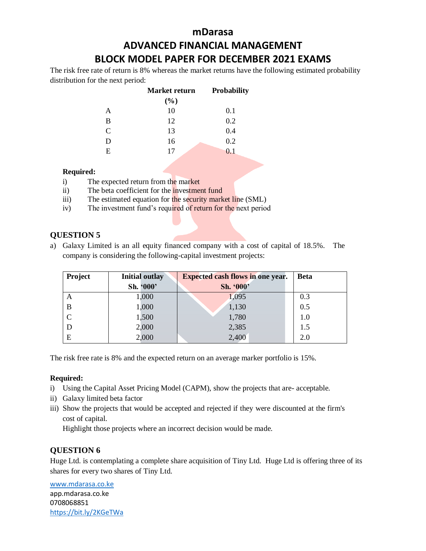# **mDarasa ADVANCED FINANCIAL MANAGEMENT**

# **BLOCK MODEL PAPER FOR DECEMBER 2021 EXAMS**

The risk free rate of return is 8% whereas the market returns have the following estimated probability distribution for the next period:

|   | Market return | <b>Probability</b> |
|---|---------------|--------------------|
|   | $(\%)$        |                    |
| A | 10            | 0.1                |
| B | 12            | 0.2                |
| C | 13            | 0.4                |
| D | 16            | 0.2                |
| E | 17            | 0.1                |
|   |               |                    |

#### **Required:**

- i) The expected return from the market
- ii) The beta coefficient for the investment fund
- iii) The estimated equation for the security market line (SML)
- iv) The investment fund's required of return for the next period

# **QUESTION 5**

a) Galaxy Limited is an all equity financed company with a cost of capital of 18.5%. The company is considering the following-capital investment projects:

| <b>Project</b> | <b>Initial outlay</b> | <b>Expected cash flows in one year.</b> | <b>Beta</b> |
|----------------|-----------------------|-----------------------------------------|-------------|
|                | Sh. '000'             | Sh. '000'                               |             |
| А              | 1,000                 | 1,095                                   | 0.3         |
| B              | 1,000                 | 1,130                                   | 0.5         |
|                | 1,500                 | 1,780                                   | 1.0         |
| D              | 2,000                 | 2,385                                   | 1.5         |
| E              | 2,000                 | 2,400                                   | 2.0         |

The risk free rate is 8% and the expected return on an average marker portfolio is 15%.

#### **Required:**

- i) Using the Capital Asset Pricing Model (CAPM), show the projects that are- acceptable.
- ii) Galaxy limited beta factor
- iii) Show the projects that would be accepted and rejected if they were discounted at the firm's cost of capital.

Highlight those projects where an incorrect decision would be made.

### **QUESTION 6**

Huge Ltd. is contemplating a complete share acquisition of Tiny Ltd. Huge Ltd is offering three of its shares for every two shares of Tiny Ltd.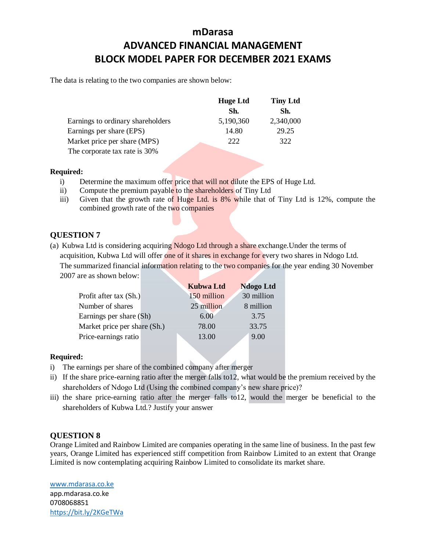The data is relating to the two companies are shown below:

|                                   | <b>Huge Ltd</b> | <b>Tiny Ltd</b> |
|-----------------------------------|-----------------|-----------------|
|                                   | Sh.             | Sh.             |
| Earnings to ordinary shareholders | 5,190,360       | 2,340,000       |
| Earnings per share (EPS)          | 14.80           | 29.25           |
| Market price per share (MPS)      | 222             | 322             |
| The corporate tax rate is 30%     |                 |                 |

**Required:**

- i) Determine the maximum offer price that will not dilute the EPS of Huge Ltd.
- ii) Compute the premium payable to the shareholders of Tiny Ltd
- iii) Given that the growth rate of Huge Ltd. is 8% while that of Tiny Ltd is 12%, compute the combined growth rate of the two companies

### **QUESTION 7**

(a) Kubwa Ltd is considering acquiring Ndogo Ltd through a share exchange.Under the terms of acquisition, Kubwa Ltd will offer one of it shares in exchange for every two shares in Ndogo Ltd. The summarized financial information relating to the two companies for the year ending 30 November 2007 are as shown below:

|                              | <b>Kubwa Ltd</b> | <b>Ndogo</b> Ltd |
|------------------------------|------------------|------------------|
| Profit after tax (Sh.)       | 150 million      | 30 million       |
| Number of shares             | 25 million       | 8 million        |
| Earnings per share (Sh)      | 6.00             | 3.75             |
| Market price per share (Sh.) | 78.00            | 33.75            |
| Price-earnings ratio         | 13.00            | 9.00             |

#### **Required:**

- i) The earnings per share of the combined company after merger
- ii) If the share price-earning ratio after the merger falls to12, what would be the premium received by the shareholders of Ndogo Ltd (Using the combined company's new share price)?
- iii) the share price-earning ratio after the merger falls to12, would the merger be beneficial to the shareholders of Kubwa Ltd.? Justify your answer

#### **QUESTION 8**

Orange Limited and Rainbow Limited are companies operating in the same line of business. In the past few years, Orange Limited has experienced stiff competition from Rainbow Limited to an extent that Orange Limited is now contemplating acquiring Rainbow Limited to consolidate its market share.

[www.mdarasa.co.ke](http://www.mdarasa.co.ke/)

app.mdarasa.co.ke 0708068851 <https://bit.ly/2KGeTWa>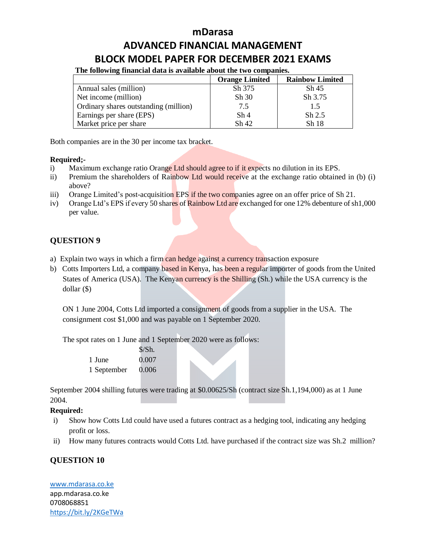# **mDarasa**

# **ADVANCED FINANCIAL MANAGEMENT BLOCK MODEL PAPER FOR DECEMBER 2021 EXAMS**

**The following financial data is available about the two companies.**

|                                       | <b>Orange Limited</b> | <b>Rainbow Limited</b> |
|---------------------------------------|-----------------------|------------------------|
| Annual sales (million)                | Sh 375                | Sh 45                  |
| Net income (million)                  | Sh 30                 | Sh 3.75                |
| Ordinary shares outstanding (million) | 7.5                   | 1.5                    |
| Earnings per share (EPS)              | Sh <sub>4</sub>       | $Sh$ 2.5               |
| Market price per share                | Sh42                  | Sh 18                  |

Both companies are in the 30 per income tax bracket.

### **Required;-**

- i) Maximum exchange ratio Orange Ltd should agree to if it expects no dilution in its EPS.
- ii) Premium the shareholders of Rainbow Ltd would receive at the exchange ratio obtained in (b) (i) above?
- iii) Orange Limited's post-acquisition EPS if the two companies agree on an offer price of Sh 21.
- iv) Orange Ltd's EPS if every 50 shares of Rainbow Ltd are exchanged for one 12% debenture of sh1,000 per value.

# **QUESTION 9**

- a) Explain two ways in which a firm can hedge against a currency transaction exposure
- b) Cotts Importers Ltd, a company based in Kenya, has been a regular importer of goods from the United States of America (USA). The Kenyan currency is the Shilling (Sh.) while the USA currency is the dollar (\$)

ON 1 June 2004, Cotts Ltd imported a consignment of goods from a supplier in the USA. The consignment cost \$1,000 and was payable on 1 September 2020.

The spot rates on 1 June and 1 September 2020 were as follows:

 $\overline{S}$ 

|             | 5/Sh. |
|-------------|-------|
| 1 June      | 0.007 |
| 1 September | 0.006 |

September 2004 shilling futures were trading at \$0.00625/Sh (contract size Sh.1,194,000) as at 1 June 2004.

### **Required:**

- i) Show how Cotts Ltd could have used a futures contract as a hedging tool, indicating any hedging profit or loss.
- ii) How many futures contracts would Cotts Ltd. have purchased if the contract size was Sh.2 million?

# **QUESTION 10**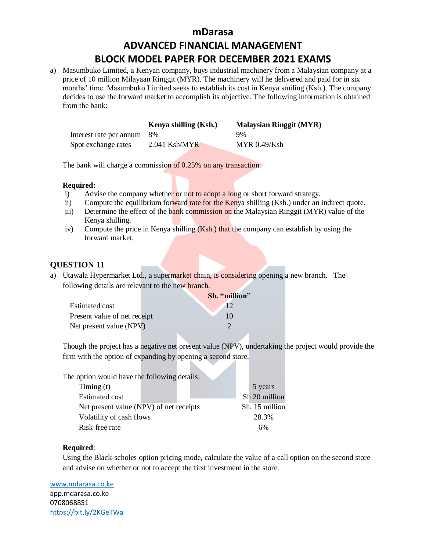a) Masumbuko Limited, a Kenyan company, buys industrial machinery from a Malaysian company at a price of 10 million Milayaan Ringgit (MYR). The machinery will he delivered and paid for in six months' time. Masumbuko Limited seeks to establish its cost in Kenya smiling (Ksh.). The company decides to use the forward market to accomplish its objective. The following information is obtained from the bank:

|                            | Kenya shilling (Ksh.) | <b>Malaysian Ringgit (MYR)</b> |
|----------------------------|-----------------------|--------------------------------|
| Interest rate per annum 8% |                       | 9%                             |
| Spot exchange rates        | $2.041$ Ksh/MYR       | MYR 0.49/Ksh                   |

The bank will charge a commission of 0.25% on any transaction.

#### **Required:**

- i) Advise the company whether or not to adopt a long or short forward strategy.
- ii) Compute the equilibrium forward rate for the Kenya shilling (Ksh.) under an indirect quote.
- iii) Determine the effect of the bank commission on the Malaysian Ringgit (MYR) value of the Kenya shilling.
- iv) Compute the price in Kenya shilling  $(Ksh.)$  that the company can establish by using the forward market.

### **QUESTION 11**

a) Utawala Hypermarket Ltd., a supermarket chain, is considering opening a new branch. The following details are relevant to the new branch.

D.

|                              | Sh. "million" |
|------------------------------|---------------|
| Estimated cost               |               |
| Present value of net receipt | 10            |
| Net present value (NPV)      |               |

Though the project has a negative net present value (NPV), undertaking the project would provide the firm with the option of expanding by opening a second store.

| The option would have the following details: |  |                |               |
|----------------------------------------------|--|----------------|---------------|
| Timing $(t)$                                 |  |                | 5 years       |
| <b>Estimated cost</b>                        |  |                | Sh 20 million |
| Net present value (NPV) of net receipts      |  | Sh. 15 million |               |
| Volatility of cash flows                     |  |                | 28.3%         |
| Risk-free rate                               |  | 6%             |               |

#### **Required**:

Using the Black-scholes option pricing mode, calculate the value of a call option on the second store and advise on whether or not to accept the first investment in the store.

[www.mdarasa.co.ke](http://www.mdarasa.co.ke/)

app.mdarasa.co.ke 0708068851 <https://bit.ly/2KGeTWa>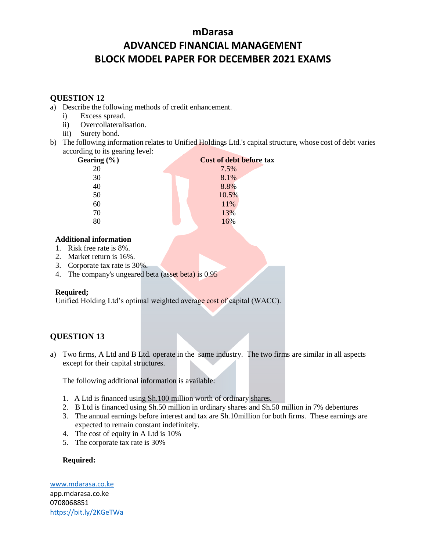# **QUESTION 12**

- a) Describe the following methods of credit enhancement.
	- i) Excess spread.
	- ii) Overcollateralisation.
	- iii) Surety bond.
- b) The following information relates to Unified Holdings Ltd.'s capital structure, whose cost of debt varies according to its gearing level:

| ັ<br>Gearing $(\% )$ | Cost of debt before tax |
|----------------------|-------------------------|
| 20                   | 7.5%                    |
| 30                   | 8.1%                    |
| 40                   | 8.8%                    |
| 50                   | 10.5%                   |
| 60                   | 11%                     |
| 70                   | 13%                     |
| 80                   | 16%                     |
|                      |                         |

#### **Additional information**

- 1. Risk free rate is 8%.
- 2. Market return is 16%.
- 3. Corporate tax rate is 30%.
- 4. The company's ungeared beta (asset beta) is 0.95

#### **Required;**

Unified Holding Ltd's optimal weighted average cost of capital (WACC).

# **QUESTION 13**

a) Two firms, A Ltd and B Ltd. operate in the same industry. The two firms are similar in all aspects except for their capital structures.

The following additional information is available:

- 1. A Ltd is financed using Sh.100 million worth of ordinary shares.
- 2. B Ltd is financed using Sh.50 million in ordinary shares and Sh.50 million in 7% debentures
- 3. The annual earnings before interest and tax are Sh.10million for both firms. These earnings are expected to remain constant indefinitely.
- 4. The cost of equity in A Ltd is 10%
- 5. The corporate tax rate is 30%

### **Required:**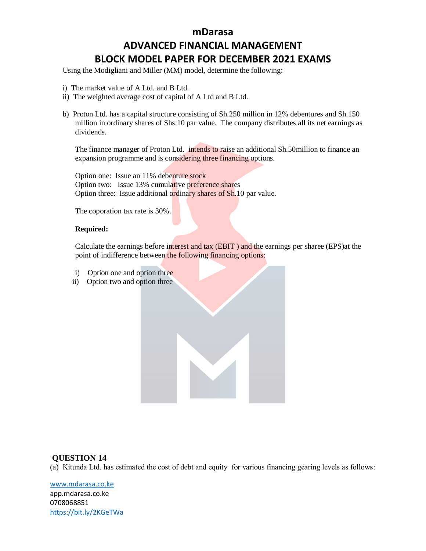Using the Modigliani and Miller (MM) model, determine the following:

- i) The market value of A Ltd. and B Ltd.
- ii) The weighted average cost of capital of A Ltd and B Ltd.
- b) Proton Ltd. has a capital structure consisting of Sh.250 million in 12% debentures and Sh.150 million in ordinary shares of Shs.10 par value. The company distributes all its net earnings as dividends.

The finance manager of Proton Ltd. intends to raise an additional Sh.50million to finance an expansion programme and is considering three financing options.

Option one: Issue an 11% debenture stock Option two: Issue 13% cumulative preference shares Option three: Issue additional ordinary shares of Sh.10 par value.

The coporation tax rate is 30%.

#### **Required:**

Calculate the earnings before interest and tax (EBIT ) and the earnings per sharee (EPS)at the point of indifference between the following financing options:

- i) Option one and option three
- ii) Option two and option three

#### **QUESTION 14**

(a) Kitunda Ltd. has estimated the cost of debt and equity for various financing gearing levels as follows: